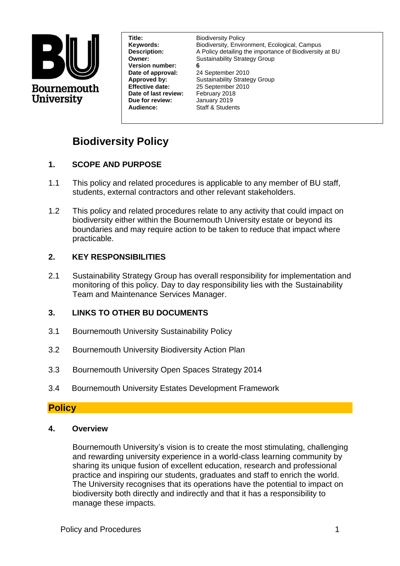

**Version number: 6 Date of approval:** 24 September 2010 **Date of last review:** February 2018<br>**Due for review:** January 2019 **Due for review: Audience:** Staff & Students

**Title: Biodiversity Policy Keywords:** Biodiversity, Environment, Ecological, Campus **Description:** A Policy detailing the importance of Biodiversity at BU **Owner:** Sustainability Strategy Group

**Approved by:** Sustainability Strategy Group **Effective date:** 25 September 2010

# **Biodiversity Policy**

# **1. SCOPE AND PURPOSE**

- 1.1 This policy and related procedures is applicable to any member of BU staff, students, external contractors and other relevant stakeholders.
- 1.2 This policy and related procedures relate to any activity that could impact on biodiversity either within the Bournemouth University estate or beyond its boundaries and may require action to be taken to reduce that impact where practicable.

# **2. KEY RESPONSIBILITIES**

2.1 Sustainability Strategy Group has overall responsibility for implementation and monitoring of this policy. Day to day responsibility lies with the Sustainability Team and Maintenance Services Manager.

#### **3. LINKS TO OTHER BU DOCUMENTS**

- 3.1 Bournemouth University Sustainability Policy
- 3.2 Bournemouth University Biodiversity Action Plan
- 3.3 Bournemouth University Open Spaces Strategy 2014
- 3.4 Bournemouth University Estates Development Framework

# **Policy**

#### **4. Overview**

Bournemouth University's vision is to create the most stimulating, challenging and rewarding university experience in a world-class learning community by sharing its unique fusion of excellent education, research and professional practice and inspiring our students, graduates and staff to enrich the world. The University recognises that its operations have the potential to impact on biodiversity both directly and indirectly and that it has a responsibility to manage these impacts.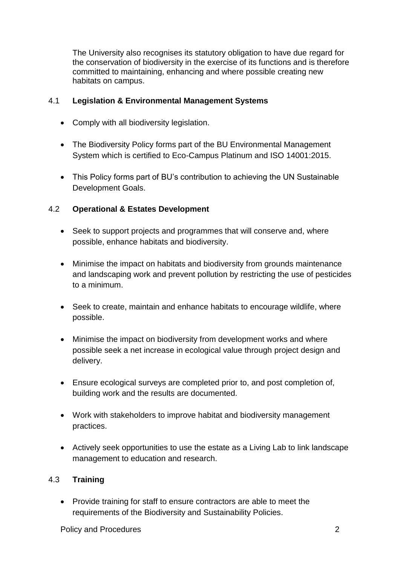The University also recognises its statutory obligation to have due regard for the conservation of biodiversity in the exercise of its functions and is therefore committed to maintaining, enhancing and where possible creating new habitats on campus.

#### 4.1 **Legislation & Environmental Management Systems**

- Comply with all biodiversity legislation.
- The Biodiversity Policy forms part of the BU Environmental Management System which is certified to Eco-Campus Platinum and ISO 14001:2015.
- This Policy forms part of BU's contribution to achieving the UN Sustainable Development Goals.

#### 4.2 **Operational & Estates Development**

- Seek to support projects and programmes that will conserve and, where possible, enhance habitats and biodiversity.
- Minimise the impact on habitats and biodiversity from grounds maintenance and landscaping work and prevent pollution by restricting the use of pesticides to a minimum.
- Seek to create, maintain and enhance habitats to encourage wildlife, where possible.
- Minimise the impact on biodiversity from development works and where possible seek a net increase in ecological value through project design and delivery.
- Ensure ecological surveys are completed prior to, and post completion of, building work and the results are documented.
- Work with stakeholders to improve habitat and biodiversity management practices.
- Actively seek opportunities to use the estate as a Living Lab to link landscape management to education and research.

#### 4.3 **Training**

• Provide training for staff to ensure contractors are able to meet the requirements of the Biodiversity and Sustainability Policies.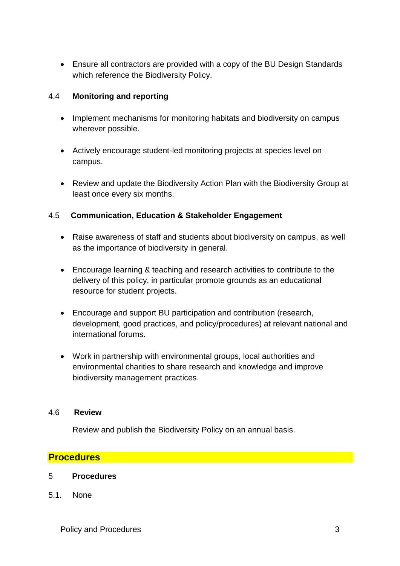Ensure all contractors are provided with a copy of the BU Design Standards which reference the Biodiversity Policy.

#### 4.4 **Monitoring and reporting**

- Implement mechanisms for monitoring habitats and biodiversity on campus wherever possible.
- Actively encourage student-led monitoring projects at species level on campus.
- Review and update the Biodiversity Action Plan with the Biodiversity Group at least once every six months.

#### 4.5 **Communication, Education & Stakeholder Engagement**

- Raise awareness of staff and students about biodiversity on campus, as well as the importance of biodiversity in general.
- Encourage learning & teaching and research activities to contribute to the delivery of this policy, in particular promote grounds as an educational resource for student projects.
- Encourage and support BU participation and contribution (research, development, good practices, and policy/procedures) at relevant national and international forums.
- Work in partnership with environmental groups, local authorities and environmental charities to share research and knowledge and improve biodiversity management practices.

#### 4.6 **Review**

Review and publish the Biodiversity Policy on an annual basis.

# **Procedures**

#### 5 **Procedures**

5.1. None